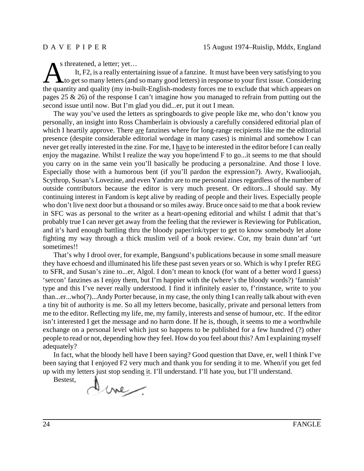As threatened, a letter; yet...<br>
It, F2, is a really entertaining issue of a fanzine. It must have been very satisfying to you<br>
to get so many letters (and so many good letters) in response to your first issue. Considering It, F2, is a really entertaining issue of a fanzine. It must have been very satisfying to you the quantity and quality (my in-built-English-modesty forces me to exclude that which appears on pages 25 & 26) of the response I can't imagine how you managed to refrain from putting out the second issue until now. But I'm glad you did...er, put it out I mean.

The way you've used the letters as springboards to give people like me, who don't know you personally, an insight into Ross Chamberlain is obviously a carefully considered editorial plan of which I heartily approve. There are fanzines where for long-range recipients like me the editorial presence (despite considerable editorial wordage in many cases) is minimal and somehow I can never get really interested in the zine. For me, I have to be interested in the editor before I can really enjoy the magazine. Whilst I realize the way you hope/intend F to go...it seems to me that should you carry on in the same vein you'll basically be producing a personalzine. And those I love. Especially those with a humorous bent (if you'll pardon the expression?). Awry, Kwalioojah, Scythrop, Susan's Lovezine, and even Yandro are to me personal zines regardless of the number of outside contributors because the editor is very much present. Or editors...I should say. My continuing interest in Fandom is kept alive by reading of people and their lives. Especially people who don't live next door but a thousand or so miles away. Bruce once said to me that a book review in SFC was as personal to the writer as a heart-opening editorial and whilst I admit that that's probably true I can never get away from the feeling that the reviewer is Reviewing for Publication, and it's hard enough battling thru the bloody paper/ink/typer to get to know somebody let alone fighting my way through a thick muslim veil of a book review. Cor, my brain dunn'arf 'urt sometimes!!

That's why I drool over, for example, Bangsund's publications because in some small measure they have echoesd and illuminated his life these past seven years or so. Which is why I prefer REG to SFR, and Susan's zine to...er, Algol. I don't mean to knock (for want of a better word I guess) 'sercon' fanzines as I enjoy them, but I'm happier with the (where's the bloody words?) 'fannish' type and this I've never really understood. I find it infinitely easier to, f'rinstance, write to you than...er...who(?)...Andy Porter because, in my case, the only thing I can really talk about with even a tiny bit of authority is me. So all my letters become, basically, private and personal letters from me to the editor. Reflecting my life, me, my family, interests and sense of humour, etc. If the editor isn't interested I get the message and no harm done. If he is, though, it seems to me a worthwhile exchange on a personal level which just so happens to be published for a few hundred (?) other people to read or not, depending how they feel. How do you feel about this? Am I explaining myself adequately?

In fact, what the bloody hell have I been saying? Good question that Dave, er, well I think I've been saying that I enjoyed F2 very much and thank you for sending it to me. When/if you get fed up with my letters just stop sending it. I'll understand. I'll hate you, but I'll understand.

Bestest,Dine.